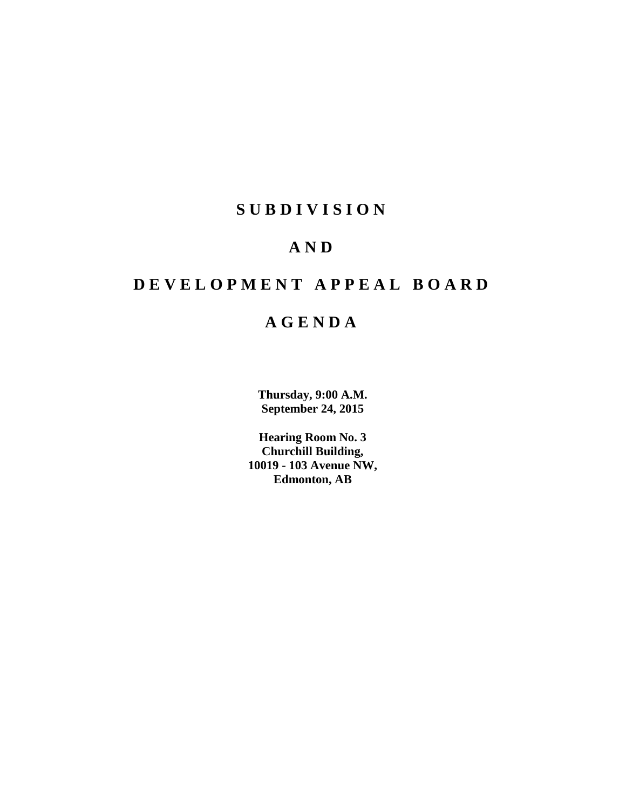## **SUBDIVISION**

## **AND**

## **DEVELOPMENT APPEAL BOARD**

## **AGENDA**

**Thursday, 9:00 A.M. September 24, 2015**

**Hearing Room No. 3 Churchill Building, 10019 - 103 Avenue NW, Edmonton, AB**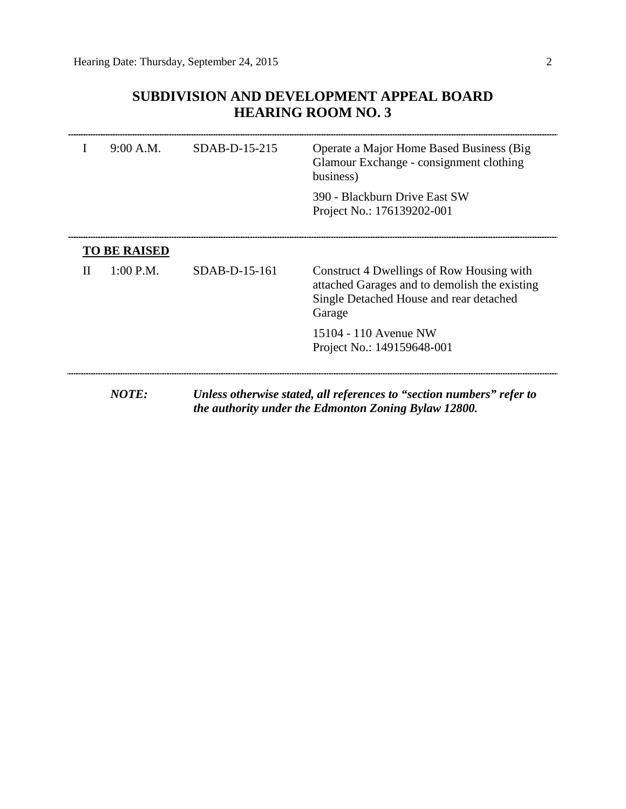$\overline{\phantom{a}}$ 

## **SUBDIVISION AND DEVELOPMENT APPEAL BOARD HEARING ROOM NO. 3**

|   | 9:00 A.M.           | SDAB-D-15-215 | Operate a Major Home Based Business (Big)<br>Glamour Exchange - consignment clothing<br>business)                                               |
|---|---------------------|---------------|-------------------------------------------------------------------------------------------------------------------------------------------------|
|   |                     |               | 390 - Blackburn Drive East SW<br>Project No.: 176139202-001                                                                                     |
|   | <b>TO BE RAISED</b> |               |                                                                                                                                                 |
| П | $1:00$ P.M.         | SDAB-D-15-161 | Construct 4 Dwellings of Row Housing with<br>attached Garages and to demolish the existing<br>Single Detached House and rear detached<br>Garage |
|   |                     |               | 15104 - 110 Avenue NW<br>Project No.: 149159648-001                                                                                             |
|   | <b>NOTE:</b>        |               | Unless otherwise stated, all references to "section numbers" refer to<br>the authority under the Edmonton Zoning Bylaw 12800.                   |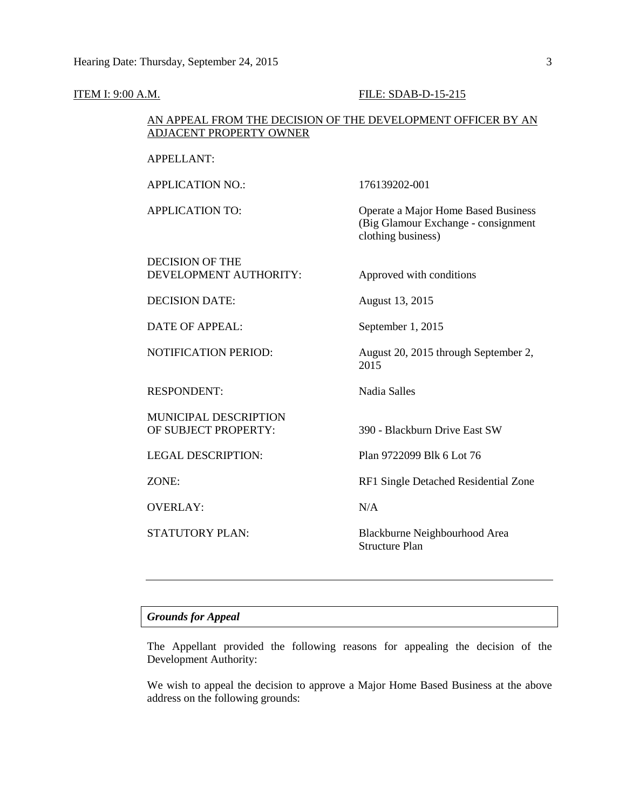#### **ITEM I: 9:00 A.M. FILE: SDAB-D-15-215**

#### AN APPEAL FROM THE DECISION OF THE DEVELOPMENT OFFICER BY AN ADJACENT PROPERTY OWNER

#### APPELLANT:

APPLICATION NO.: 176139202-001

APPLICATION TO: Operate a Major Home Based Business

DECISION OF THE

DEVELOPMENT AUTHORITY: Approved with conditions

clothing business)

(Big Glamour Exchange - consignment

DECISION DATE: August 13, 2015

DATE OF APPEAL: September 1, 2015

NOTIFICATION PERIOD: August 20, 2015 through September 2,

RESPONDENT: Nadia Salles

MUNICIPAL DESCRIPTION OF SUBJECT PROPERTY: 390 - Blackburn Drive East SW

OVERLAY: N/A

LEGAL DESCRIPTION: Plan 9722099 Blk 6 Lot 76

ZONE: RF1 Single Detached Residential Zone

2015

STATUTORY PLAN: Blackburne Neighbourhood Area Structure Plan

#### *Grounds for Appeal*

The Appellant provided the following reasons for appealing the decision of the Development Authority:

We wish to appeal the decision to approve a Major Home Based Business at the above address on the following grounds: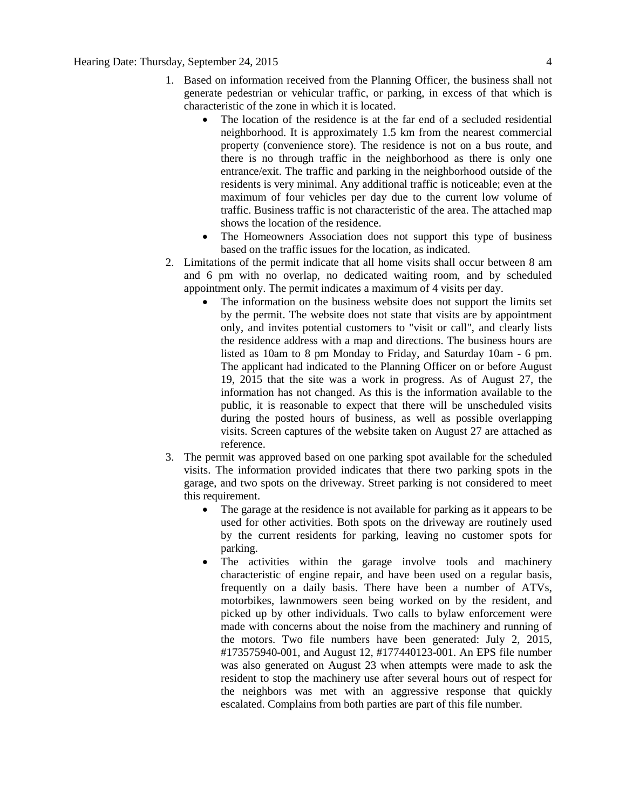- 1. Based on information received from the Planning Officer, the business shall not generate pedestrian or vehicular traffic, or parking, in excess of that which is characteristic of the zone in which it is located.
	- The location of the residence is at the far end of a secluded residential neighborhood. It is approximately 1.5 km from the nearest commercial property (convenience store). The residence is not on a bus route, and there is no through traffic in the neighborhood as there is only one entrance/exit. The traffic and parking in the neighborhood outside of the residents is very minimal. Any additional traffic is noticeable; even at the maximum of four vehicles per day due to the current low volume of traffic. Business traffic is not characteristic of the area. The attached map shows the location of the residence.
	- The Homeowners Association does not support this type of business based on the traffic issues for the location, as indicated.
- 2. Limitations of the permit indicate that all home visits shall occur between 8 am and 6 pm with no overlap, no dedicated waiting room, and by scheduled appointment only. The permit indicates a maximum of 4 visits per day.
	- The information on the business website does not support the limits set by the permit. The website does not state that visits are by appointment only, and invites potential customers to "visit or call", and clearly lists the residence address with a map and directions. The business hours are listed as 10am to 8 pm Monday to Friday, and Saturday 10am - 6 pm. The applicant had indicated to the Planning Officer on or before August 19, 2015 that the site was a work in progress. As of August 27, the information has not changed. As this is the information available to the public, it is reasonable to expect that there will be unscheduled visits during the posted hours of business, as well as possible overlapping visits. Screen captures of the website taken on August 27 are attached as reference.
- 3. The permit was approved based on one parking spot available for the scheduled visits. The information provided indicates that there two parking spots in the garage, and two spots on the driveway. Street parking is not considered to meet this requirement.
	- The garage at the residence is not available for parking as it appears to be used for other activities. Both spots on the driveway are routinely used by the current residents for parking, leaving no customer spots for parking.
	- The activities within the garage involve tools and machinery characteristic of engine repair, and have been used on a regular basis, frequently on a daily basis. There have been a number of ATVs, motorbikes, lawnmowers seen being worked on by the resident, and picked up by other individuals. Two calls to bylaw enforcement were made with concerns about the noise from the machinery and running of the motors. Two file numbers have been generated: July 2, 2015, #173575940-001, and August 12, #177440123-001. An EPS file number was also generated on August 23 when attempts were made to ask the resident to stop the machinery use after several hours out of respect for the neighbors was met with an aggressive response that quickly escalated. Complains from both parties are part of this file number.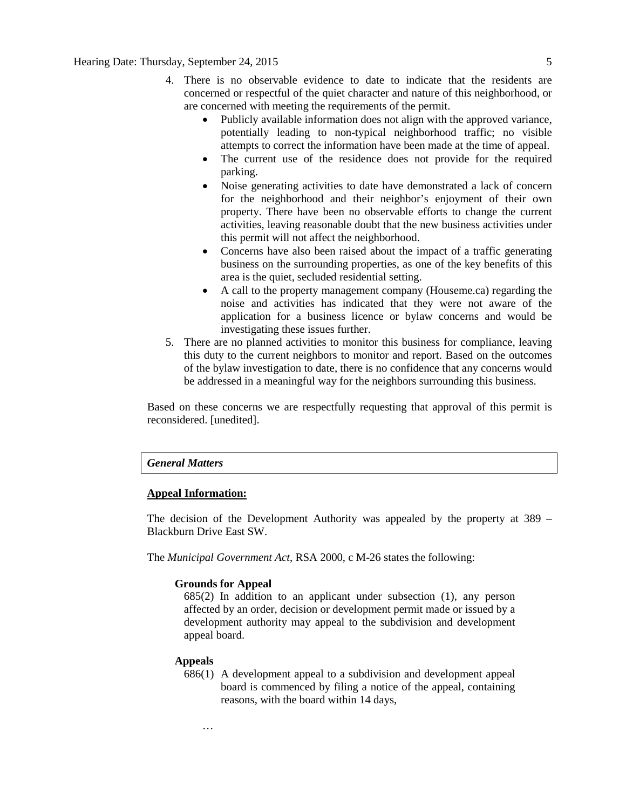- 4. There is no observable evidence to date to indicate that the residents are concerned or respectful of the quiet character and nature of this neighborhood, or are concerned with meeting the requirements of the permit.
	- Publicly available information does not align with the approved variance, potentially leading to non-typical neighborhood traffic; no visible attempts to correct the information have been made at the time of appeal.
	- The current use of the residence does not provide for the required parking.
	- Noise generating activities to date have demonstrated a lack of concern for the neighborhood and their neighbor's enjoyment of their own property. There have been no observable efforts to change the current activities, leaving reasonable doubt that the new business activities under this permit will not affect the neighborhood.
	- Concerns have also been raised about the impact of a traffic generating business on the surrounding properties, as one of the key benefits of this area is the quiet, secluded residential setting.
	- A call to the property management company (Houseme.ca) regarding the noise and activities has indicated that they were not aware of the application for a business licence or bylaw concerns and would be investigating these issues further.
- 5. There are no planned activities to monitor this business for compliance, leaving this duty to the current neighbors to monitor and report. Based on the outcomes of the bylaw investigation to date, there is no confidence that any concerns would be addressed in a meaningful way for the neighbors surrounding this business.

Based on these concerns we are respectfully requesting that approval of this permit is reconsidered. [unedited].

#### *General Matters*

#### **Appeal Information:**

The decision of the Development Authority was appealed by the property at 389 – Blackburn Drive East SW.

The *Municipal Government Act*, RSA 2000, c M-26 states the following:

#### **Grounds for Appeal**

685(2) In addition to an applicant under subsection (1), any person affected by an order, decision or development permit made or issued by a development authority may appeal to the subdivision and development appeal board.

#### **Appeals**

686(1) A development appeal to a subdivision and development appeal board is commenced by filing a notice of the appeal, containing reasons, with the board within 14 days,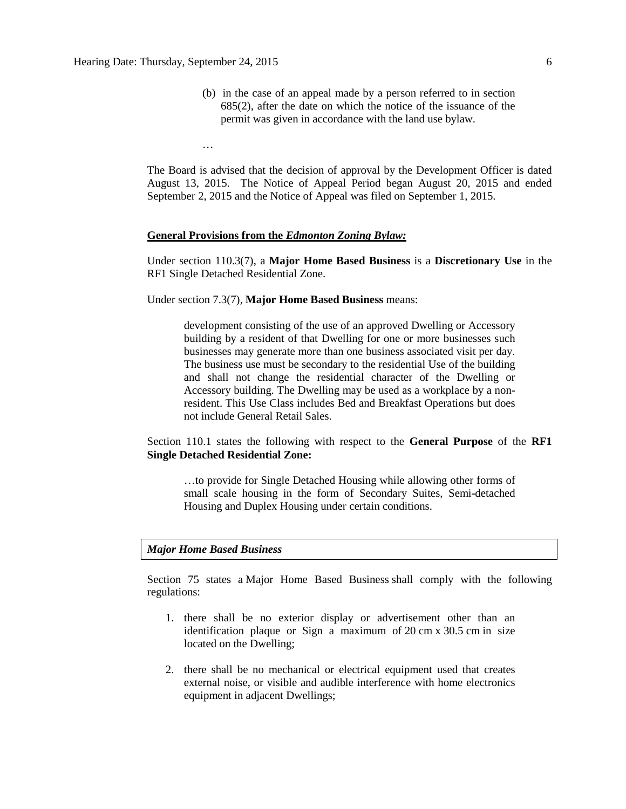…

(b) in the case of an appeal made by a person referred to in section 685(2), after the date on which the notice of the issuance of the permit was given in accordance with the land use bylaw.

The Board is advised that the decision of approval by the Development Officer is dated August 13, 2015. The Notice of Appeal Period began August 20, 2015 and ended September 2, 2015 and the Notice of Appeal was filed on September 1, 2015.

#### **General Provisions from the** *Edmonton Zoning Bylaw:*

Under section 110.3(7), a **Major Home Based Business** is a **Discretionary Use** in the RF1 Single Detached Residential Zone.

Under section 7.3(7), **Major Home Based Business** means:

development consisting of the use of an approved Dwelling or Accessory building by a resident of that Dwelling for one or more businesses such businesses may generate more than one business associated visit per day. The business use must be secondary to the residential Use of the building and shall not change the residential character of the Dwelling or Accessory building. The Dwelling may be used as a workplace by a nonresident. This Use Class includes Bed and Breakfast Operations but does not include General Retail Sales.

Section 110.1 states the following with respect to the **General Purpose** of the **RF1 Single Detached Residential Zone:**

…to provide for Single Detached Housing while allowing other forms of small scale housing in the form of Secondary Suites, Semi-detached Housing and Duplex Housing under certain conditions.

#### *Major Home Based Business*

Section 75 states a [Major Home Based Business](javascript:void(0);) shall comply with the following regulations:

- 1. there shall be no exterior display or advertisement other than an identification plaque or Sign a maximum of 20 [cm](javascript:void(0);) x [30.5](javascript:void(0);) cm in size located on the Dwelling;
- 2. there shall be no mechanical or electrical equipment used that creates external noise, or visible and audible interference with home electronics equipment in adjacent Dwellings;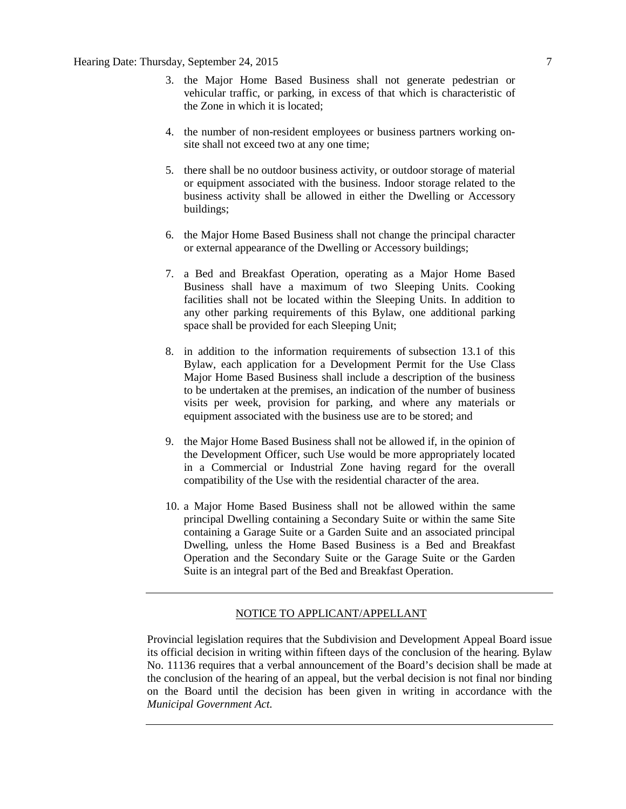- 3. the Major Home Based Business shall not generate pedestrian or vehicular traffic, or parking, in excess of that which is characteristic of the Zone in which it is located;
- 4. the number of non-resident employees or business partners working onsite shall not exceed two at any one time;
- 5. there shall be no outdoor business activity, or outdoor storage of material or equipment associated with the business. Indoor storage related to the business activity shall be allowed in either the Dwelling or Accessory buildings;
- 6. the Major Home Based Business shall not change the principal character or external appearance of the [Dwelling](javascript:void(0);) or [Accessory](javascript:void(0);) buildings;
- 7. a Bed and Breakfast Operation, operating as a Major Home Based Business shall have a maximum of two Sleeping Units. Cooking facilities shall not be located within the Sleeping Units. In addition to any other parking requirements of this Bylaw, one additional parking space shall be provided for each Sleeping Unit;
- 8. in addition to the information requirements of [subsection 13.1](http://webdocs.edmonton.ca/InfraPlan/zoningbylaw/ZoningBylaw/Part1/Administrative/13__Development_Application_Submissions.htm) of this Bylaw, each application for a Development Permit for the Use Class Major Home Based Business shall include a description of the business to be undertaken at the premises, an indication of the number of business visits per week, provision for parking, and where any materials or equipment associated with the business use are to be stored; and
- 9. the [Major Home Based Business](javascript:void(0);) shall not be allowed if, in the opinion of the Development Officer, such Use would be more appropriately located in a Commercial or Industrial Zone having regard for the overall compatibility of the Use with the residential character of the area.
- 10. a Major Home Based Business shall not be allowed within the same principal Dwelling containing a Secondary Suite or within the same Site containing a Garage Suite or a Garden Suite and an associated principal Dwelling, unless the Home Based Business is a Bed and Breakfast Operation and the Secondary Suite or the Garage Suite or the Garden Suite is an integral part of the Bed and Breakfast Operation.

#### NOTICE TO APPLICANT/APPELLANT

Provincial legislation requires that the Subdivision and Development Appeal Board issue its official decision in writing within fifteen days of the conclusion of the hearing. Bylaw No. 11136 requires that a verbal announcement of the Board's decision shall be made at the conclusion of the hearing of an appeal, but the verbal decision is not final nor binding on the Board until the decision has been given in writing in accordance with the *Municipal Government Act.*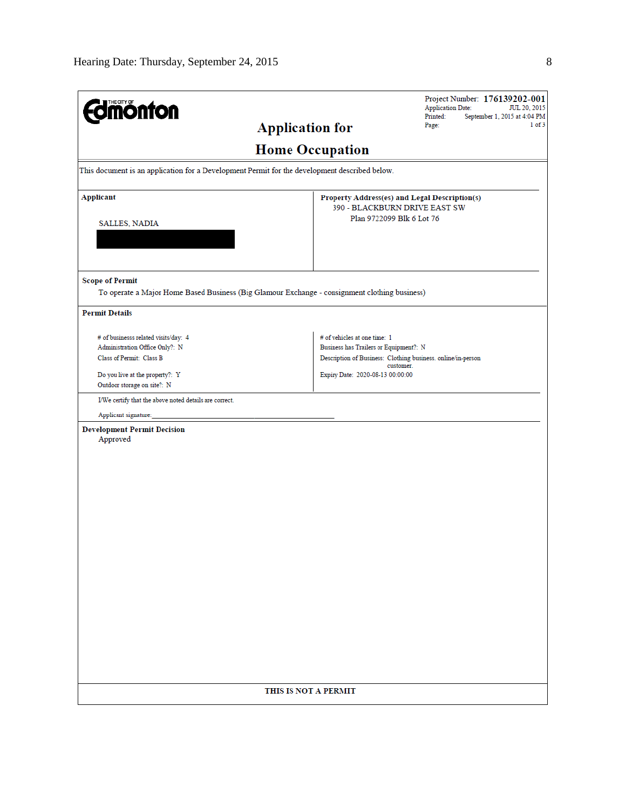| <b>dmönton</b>                                                                                | Project Number: 176139202-001<br><b>Application Date:</b><br>JUL 20, 2015<br>Printed:<br>September 1, 2015 at 4:04 PM |
|-----------------------------------------------------------------------------------------------|-----------------------------------------------------------------------------------------------------------------------|
|                                                                                               | $1$ of $3$<br><b>Application for</b><br>Page:                                                                         |
|                                                                                               | <b>Home Occupation</b>                                                                                                |
| This document is an application for a Development Permit for the development described below. |                                                                                                                       |
| <b>Applicant</b>                                                                              | Property Address(es) and Legal Description(s)                                                                         |
|                                                                                               | 390 - BLACKBURN DRIVE EAST SW<br>Plan 9722099 Blk 6 Lot 76                                                            |
| <b>SALLES, NADIA</b>                                                                          |                                                                                                                       |
|                                                                                               |                                                                                                                       |
| <b>Scope of Permit</b>                                                                        |                                                                                                                       |
| To operate a Major Home Based Business (Big Glamour Exchange - consignment clothing business) |                                                                                                                       |
| <b>Permit Details</b>                                                                         |                                                                                                                       |
| # of businesss related visits/day: 4                                                          | # of vehicles at one time: 1                                                                                          |
| Administration Office Only?: N                                                                | Business has Trailers or Equipment?: N                                                                                |
| Class of Permit: Class B                                                                      | Description of Business: Clothing business. online/in-person<br>customer.                                             |
| Do you live at the property?: Y                                                               | Expiry Date: 2020-08-13 00:00:00                                                                                      |
| Outdoor storage on site?: N                                                                   |                                                                                                                       |
| I/We certify that the above noted details are correct.                                        |                                                                                                                       |
| Applicant signature:                                                                          |                                                                                                                       |
| <b>Development Permit Decision</b><br>Approved                                                |                                                                                                                       |
|                                                                                               |                                                                                                                       |
|                                                                                               |                                                                                                                       |
|                                                                                               |                                                                                                                       |
|                                                                                               |                                                                                                                       |
|                                                                                               |                                                                                                                       |
|                                                                                               |                                                                                                                       |
|                                                                                               |                                                                                                                       |
|                                                                                               |                                                                                                                       |
|                                                                                               |                                                                                                                       |
|                                                                                               |                                                                                                                       |
|                                                                                               |                                                                                                                       |
|                                                                                               |                                                                                                                       |
|                                                                                               |                                                                                                                       |
|                                                                                               |                                                                                                                       |
|                                                                                               |                                                                                                                       |
|                                                                                               |                                                                                                                       |
|                                                                                               |                                                                                                                       |
|                                                                                               |                                                                                                                       |
|                                                                                               | THIS IS NOT A PERMIT                                                                                                  |
|                                                                                               |                                                                                                                       |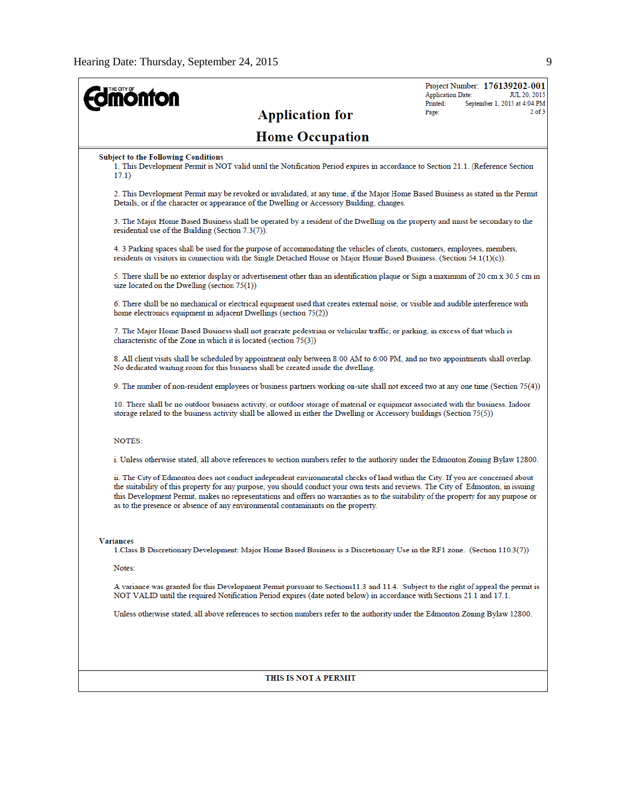| <b>nonton</b>                                                                                                                                                                                                                                                                                                                                                                                                                                                                                  | Project Number: 176139202-001<br><b>Application Date:</b><br>JUL 20, 2015 |
|------------------------------------------------------------------------------------------------------------------------------------------------------------------------------------------------------------------------------------------------------------------------------------------------------------------------------------------------------------------------------------------------------------------------------------------------------------------------------------------------|---------------------------------------------------------------------------|
| <b>Application for</b>                                                                                                                                                                                                                                                                                                                                                                                                                                                                         | Printed:<br>September 1, 2015 at 4:04 PM<br>$2$ of $3$<br>Page:           |
| <b>Home Occupation</b>                                                                                                                                                                                                                                                                                                                                                                                                                                                                         |                                                                           |
| <b>Subject to the Following Conditions</b><br>1. This Development Permit is NOT valid until the Notification Period expires in accordance to Section 21.1. (Reference Section<br>17.1)                                                                                                                                                                                                                                                                                                         |                                                                           |
| 2. This Development Permit may be revoked or invalidated, at any time, if the Major Home Based Business as stated in the Permit<br>Details, or if the character or appearance of the Dwelling or Accessory Building, changes.                                                                                                                                                                                                                                                                  |                                                                           |
| 3. The Major Home Based Business shall be operated by a resident of the Dwelling on the property and must be secondary to the<br>residential use of the Building (Section 7.3(7)).                                                                                                                                                                                                                                                                                                             |                                                                           |
| 4. 3 Parking spaces shall be used for the purpose of accommodating the vehicles of clients, customers, employees, members,<br>residents or visitors in connection with the Single Detached House or Major Home Based Business. (Section 54.1(1)(c)).                                                                                                                                                                                                                                           |                                                                           |
| 5. There shall be no exterior display or advertisement other than an identification plaque or Sign a maximum of 20 cm x 30.5 cm in<br>size located on the Dwelling (section $75(1)$ )                                                                                                                                                                                                                                                                                                          |                                                                           |
| 6. There shall be no mechanical or electrical equipment used that creates external noise, or visible and audible interference with<br>home electronics equipment in adjacent Dwellings (section 75(2))                                                                                                                                                                                                                                                                                         |                                                                           |
| 7. The Major Home Based Business shall not generate pedestrian or vehicular traffic, or parking, in excess of that which is<br>characteristic of the Zone in which it is located (section 75(3))                                                                                                                                                                                                                                                                                               |                                                                           |
| 8. All client visits shall be scheduled by appointment only between 8:00 AM to 6:00 PM, and no two appointments shall overlap.<br>No dedicated waiting room for this business shall be created inside the dwelling.                                                                                                                                                                                                                                                                            |                                                                           |
| 9. The number of non-resident employees or business partners working on-site shall not exceed two at any one time (Section 75(4))                                                                                                                                                                                                                                                                                                                                                              |                                                                           |
| 10. There shall be no outdoor business activity, or outdoor storage of material or equipment associated with the business. Indoor<br>storage related to the business activity shall be allowed in either the Dwelling or Accessory buildings (Section $75(5)$ )                                                                                                                                                                                                                                |                                                                           |
| <b>NOTES:</b>                                                                                                                                                                                                                                                                                                                                                                                                                                                                                  |                                                                           |
| i. Unless otherwise stated, all above references to section numbers refer to the authority under the Edmonton Zoning Bylaw 12800.                                                                                                                                                                                                                                                                                                                                                              |                                                                           |
| ii. The City of Edmonton does not conduct independent environmental checks of land within the City. If you are concerned about<br>the suitability of this property for any purpose, you should conduct your own tests and reviews. The City of Edmonton, in issuing<br>this Development Permit, makes no representations and offers no warranties as to the suitability of the property for any purpose or<br>as to the presence or absence of any environmental contaminants on the property. |                                                                           |
| Variances                                                                                                                                                                                                                                                                                                                                                                                                                                                                                      |                                                                           |
| 1. Class B Discretionary Development: Major Home Based Business is a Discretionary Use in the RF1 zone. (Section 110.3(7))                                                                                                                                                                                                                                                                                                                                                                     |                                                                           |
| Notes:                                                                                                                                                                                                                                                                                                                                                                                                                                                                                         |                                                                           |
| A variance was granted for this Development Permit pursuant to Sections 11.3 and 11.4. Subject to the right of appeal the permit is<br>NOT VALID until the required Notification Period expires (date noted below) in accordance with Sections 21.1 and 17.1.                                                                                                                                                                                                                                  |                                                                           |
| Unless otherwise stated, all above references to section numbers refer to the authority under the Edmonton Zoning Bylaw 12800.                                                                                                                                                                                                                                                                                                                                                                 |                                                                           |
|                                                                                                                                                                                                                                                                                                                                                                                                                                                                                                |                                                                           |
| THIS IS NOT A PERMIT                                                                                                                                                                                                                                                                                                                                                                                                                                                                           |                                                                           |
|                                                                                                                                                                                                                                                                                                                                                                                                                                                                                                |                                                                           |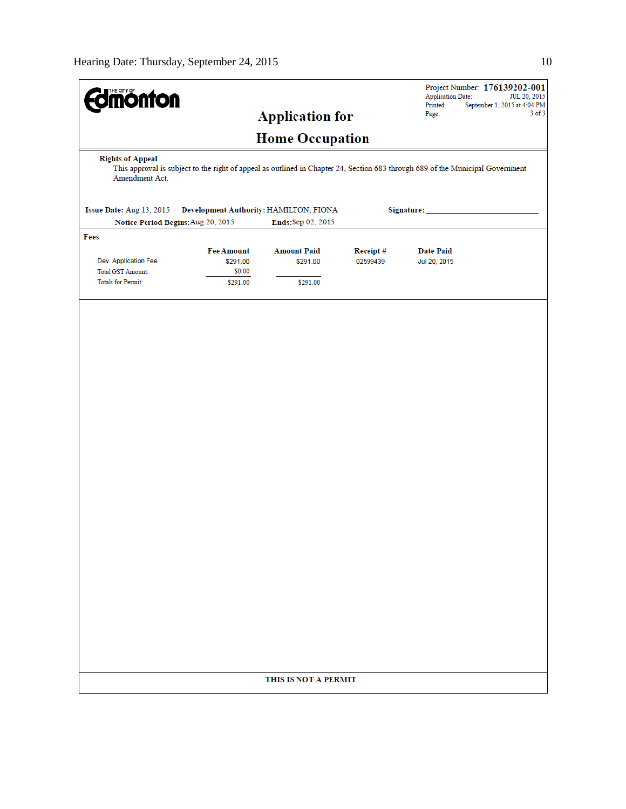| <b>Jmönton</b>                                                                                                                                                              |                   |                        |                      | Project Number: 176139202-001<br><b>Application Date:</b><br>JUL 20, 2015<br>Printed:<br>September 1, 2015 at 4:04 PM |  |  |  |
|-----------------------------------------------------------------------------------------------------------------------------------------------------------------------------|-------------------|------------------------|----------------------|-----------------------------------------------------------------------------------------------------------------------|--|--|--|
|                                                                                                                                                                             |                   | <b>Application for</b> |                      | $3$ of $3$<br>Page:                                                                                                   |  |  |  |
|                                                                                                                                                                             |                   | <b>Home Occupation</b> |                      |                                                                                                                       |  |  |  |
| <b>Rights of Appeal</b><br>This approval is subject to the right of appeal as outlined in Chapter 24, Section 683 through 689 of the Municipal Government<br>Amendment Act. |                   |                        |                      |                                                                                                                       |  |  |  |
| Issue Date: Aug 13, 2015<br>Development Authority: HAMILTON, FIONA                                                                                                          | Signature: _      |                        |                      |                                                                                                                       |  |  |  |
| Notice Period Begins: Aug 20, 2015<br>Fees                                                                                                                                  |                   | Ends:Sep 02, 2015      |                      |                                                                                                                       |  |  |  |
|                                                                                                                                                                             | <b>Fee Amount</b> | <b>Amount Paid</b>     |                      | <b>Date Paid</b>                                                                                                      |  |  |  |
| Dev. Application Fee                                                                                                                                                        | \$291.00          | \$291.00               | Receipt#<br>02599439 | Jul 20, 2015                                                                                                          |  |  |  |
| <b>Total GST Amount:</b>                                                                                                                                                    | \$0.00            |                        |                      |                                                                                                                       |  |  |  |
| <b>Totals for Permit:</b>                                                                                                                                                   | \$291.00          | \$291.00               |                      |                                                                                                                       |  |  |  |
|                                                                                                                                                                             |                   | THIS IS NOT A PERMIT   |                      |                                                                                                                       |  |  |  |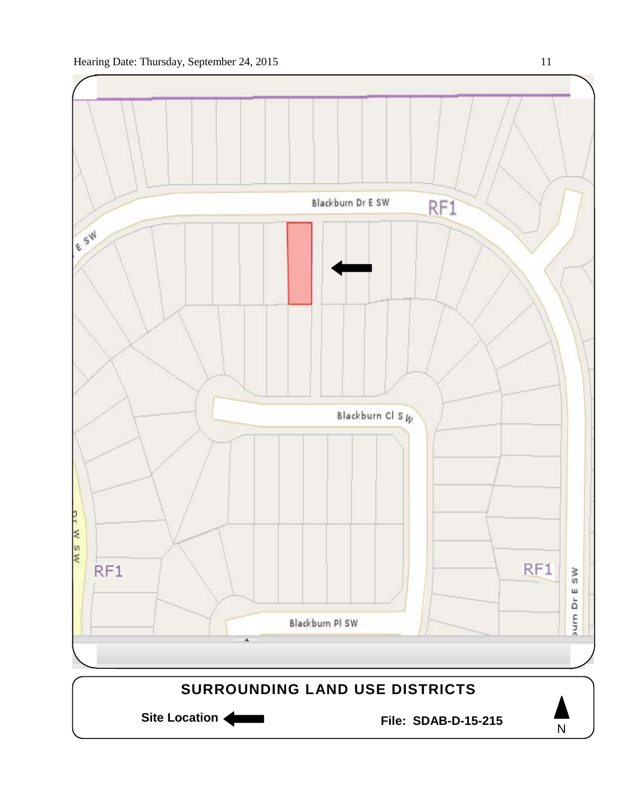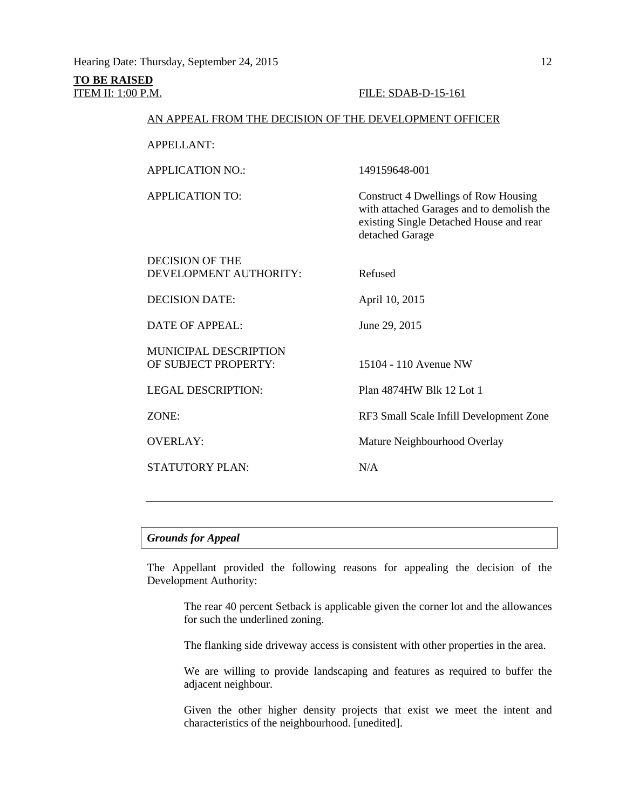# **TO BE RAISED**

#### **ITEM II: 1:00 P.M. FILE: SDAB-D-15-161**

#### AN APPEAL FROM THE DECISION OF THE DEVELOPMENT OFFICER

| <b>APPELLANT:</b> |  |
|-------------------|--|
|                   |  |

APPLICATION NO.: 149159648-001

APPLICATION TO: Construct 4 Dwellings of Row Housing

DECISION OF THE DEVELOPMENT AUTHORITY: Refused

DECISION DATE: April 10, 2015

DATE OF APPEAL: June 29, 2015

MUNICIPAL DESCRIPTION OF SUBJECT PROPERTY: 15104 - 110 Avenue NW

STATUTORY PLAN: N/A

detached Garage

LEGAL DESCRIPTION: Plan 4874HW Blk 12 Lot 1

ZONE: RF3 Small Scale Infill Development Zone

with attached Garages and to demolish the existing Single Detached House and rear

OVERLAY: Mature Neighbourhood Overlay

#### *Grounds for Appeal*

The Appellant provided the following reasons for appealing the decision of the Development Authority:

The rear 40 percent Setback is applicable given the corner lot and the allowances for such the underlined zoning.

The flanking side driveway access is consistent with other properties in the area.

We are willing to provide landscaping and features as required to buffer the adjacent neighbour.

Given the other higher density projects that exist we meet the intent and characteristics of the neighbourhood. [unedited].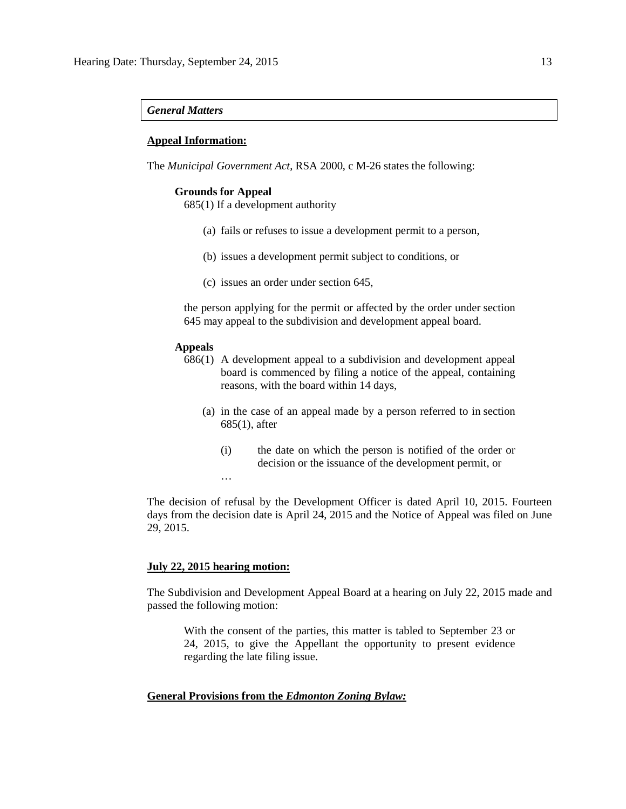#### *General Matters*

#### **Appeal Information:**

The *Municipal Government Act*, RSA 2000, c M-26 states the following:

#### **Grounds for Appeal**

685(1) If a development authority

- (a) fails or refuses to issue a development permit to a person,
- (b) issues a development permit subject to conditions, or
- (c) issues an order under section 645,

the person applying for the permit or affected by the order under section 645 may appeal to the subdivision and development appeal board.

#### **Appeals**

- 686(1) A development appeal to a subdivision and development appeal board is commenced by filing a notice of the appeal, containing reasons, with the board within 14 days,
	- (a) in the case of an appeal made by a person referred to in section 685(1), after
		- (i) the date on which the person is notified of the order or decision or the issuance of the development permit, or

The decision of refusal by the Development Officer is dated April 10, 2015. Fourteen days from the decision date is April 24, 2015 and the Notice of Appeal was filed on June 29, 2015.

#### **July 22, 2015 hearing motion:**

…

The Subdivision and Development Appeal Board at a hearing on July 22, 2015 made and passed the following motion:

With the consent of the parties, this matter is tabled to September 23 or 24, 2015, to give the Appellant the opportunity to present evidence regarding the late filing issue.

#### **General Provisions from the** *Edmonton Zoning Bylaw:*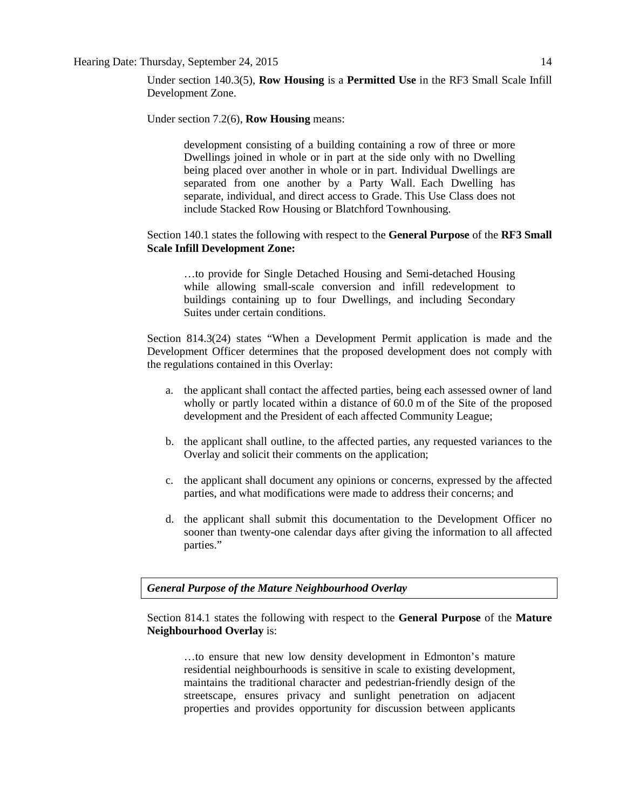#### Hearing Date: Thursday, September 24, 2015 14

Under section 140.3(5), **Row Housing** is a **Permitted Use** in the RF3 Small Scale Infill Development Zone.

Under section 7.2(6), **Row Housing** means:

development consisting of a building containing a row of three or more Dwellings joined in whole or in part at the side only with no Dwelling being placed over another in whole or in part. Individual Dwellings are separated from one another by a Party Wall. Each Dwelling has separate, individual, and direct access to Grade. This Use Class does not include Stacked Row Housing or Blatchford Townhousing.

### Section 140.1 states the following with respect to the **General Purpose** of the **RF3 Small Scale Infill Development Zone:**

…to provide for Single Detached Housing and Semi-detached Housing while allowing small-scale conversion and infill redevelopment to buildings containing up to four Dwellings, and including Secondary Suites under certain conditions.

Section 814.3(24) states "When a Development Permit application is made and the Development Officer determines that the proposed development does not comply with the regulations contained in this Overlay:

- a. the applicant shall contact the affected parties, being each assessed owner of land wholly or partly located within a distance of [60.0](javascript:void(0);) m of the Site of the proposed development and the President of each affected Community League;
- b. the applicant shall outline, to the affected parties, any requested variances to the Overlay and solicit their comments on the application;
- c. the applicant shall document any opinions or concerns, expressed by the affected parties, and what modifications were made to address their concerns; and
- d. the applicant shall submit this documentation to the Development Officer no sooner than twenty-one calendar days after giving the information to all affected parties."

*General Purpose of the Mature Neighbourhood Overlay*

Section 814.1 states the following with respect to the **General Purpose** of the **Mature Neighbourhood Overlay** is:

…to ensure that new low density development in Edmonton's mature residential neighbourhoods is sensitive in scale to existing development, maintains the traditional character and pedestrian-friendly design of the streetscape, ensures privacy and sunlight penetration on adjacent properties and provides opportunity for discussion between applicants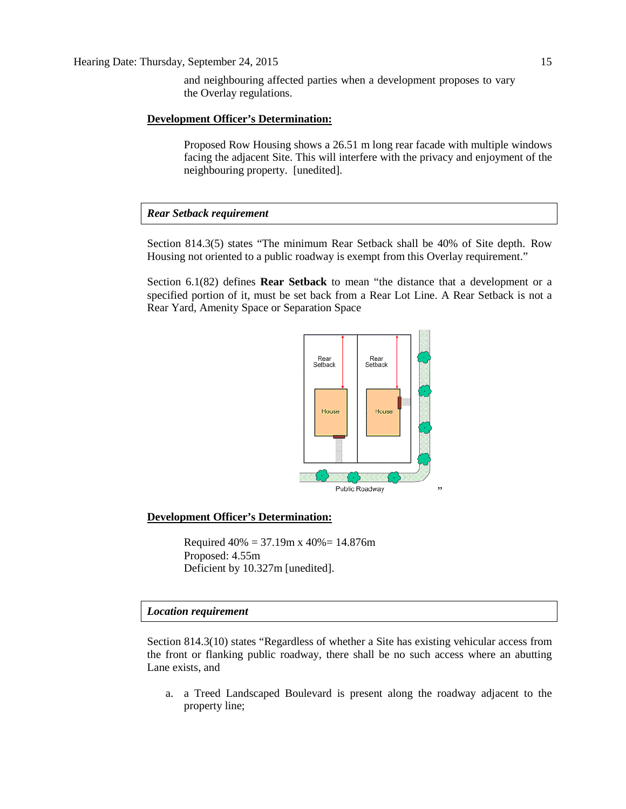and neighbouring affected parties when a development proposes to vary the Overlay regulations.

#### **Development Officer's Determination:**

Proposed Row Housing shows a 26.51 m long rear facade with multiple windows facing the adjacent Site. This will interfere with the privacy and enjoyment of the neighbouring property. [unedited].

#### *Rear Setback requirement*

Section 814.3(5) states "The minimum Rear Setback shall be 40% of Site depth. Row Housing not oriented to a public roadway is exempt from this Overlay requirement."

Section 6.1(82) defines **Rear Setback** to mean "the distance that a development or a specified portion of it, must be set back from a Rear Lot Line. A Rear Setback is not a Rear Yard, Amenity Space or Separation Space



#### **Development Officer's Determination:**

Required  $40\% = 37.19$ m x  $40\% = 14.876$ m Proposed: 4.55m Deficient by 10.327m [unedited].

#### *Location requirement*

Section 814.3(10) states "Regardless of whether a Site has existing vehicular access from the front or flanking public roadway, there shall be no such access where an abutting Lane exists, and

a. a Treed Landscaped Boulevard is present along the roadway adjacent to the property line;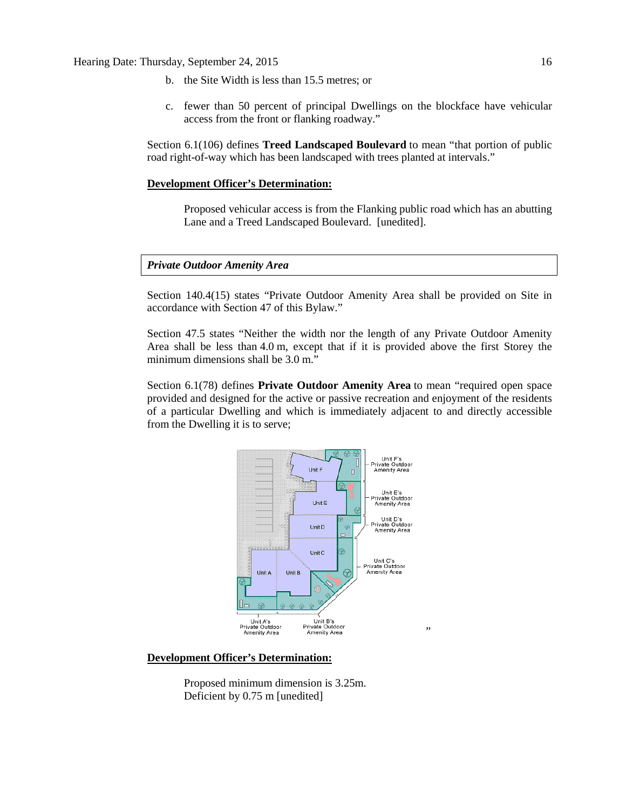- b. the Site Width is less than 15.5 metres; or
- c. fewer than 50 percent of principal Dwellings on the blockface have vehicular access from the front or flanking roadway."

Section 6.1(106) defines **Treed Landscaped Boulevard** to mean "that portion of public road right-of-way which has been landscaped with trees planted at intervals."

#### **Development Officer's Determination:**

Proposed vehicular access is from the Flanking public road which has an abutting Lane and a Treed Landscaped Boulevard. [unedited].

#### *Private Outdoor Amenity Area*

Section 140.4(15) states "Private Outdoor Amenity Area shall be provided on Site in accordance with Section 47 of this Bylaw."

Section 47.5 states "Neither the width nor the length of any Private Outdoor Amenity Area shall be less than [4.0](javascript:void(0);) m, except that if it is provided above the first Storey the minimum dimensions shall be [3.0](javascript:void(0);) m."

Section 6.1(78) defines **Private Outdoor Amenity Area** to mean "required open space provided and designed for the active or passive recreation and enjoyment of the residents of a particular Dwelling and which is immediately adjacent to and directly accessible from the Dwelling it is to serve;



#### **Development Officer's Determination:**

Proposed minimum dimension is 3.25m. Deficient by 0.75 m [unedited]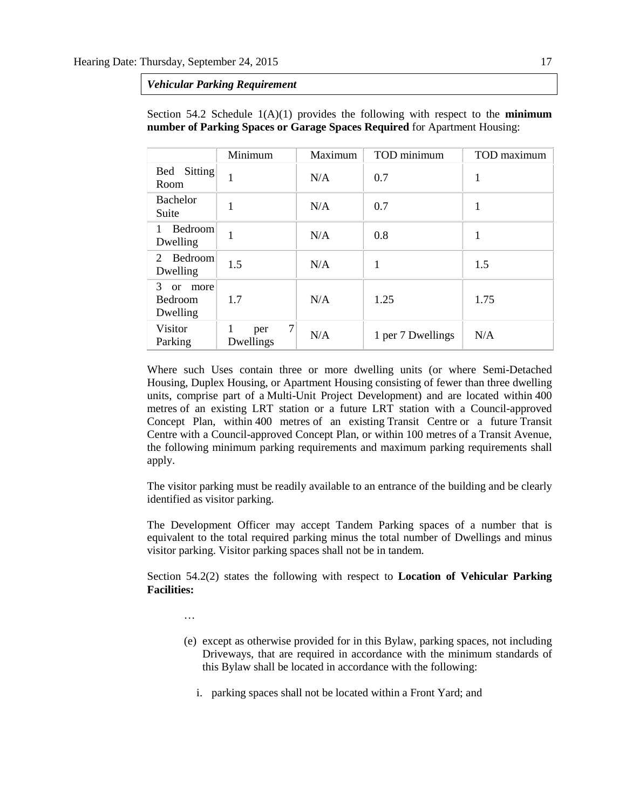*Vehicular Parking Requirement*

|                                                   | Minimum                    | Maximum | TOD minimum       | TOD maximum |
|---------------------------------------------------|----------------------------|---------|-------------------|-------------|
| Sitting<br>Bed<br>Room                            |                            | N/A     | 0.7               | 1           |
| Bachelor<br>Suite                                 |                            | N/A     | 0.7               | 1           |
| Bedroom<br>1<br>Dwelling                          |                            | N/A     | 0.8               | 1           |
| Bedroom<br>$\mathcal{D}_{\cdot}$<br>Dwelling      | 1.5                        | N/A     |                   | 1.5         |
| 3<br><sub>or</sub><br>more<br>Bedroom<br>Dwelling | 1.7                        | N/A     | 1.25              | 1.75        |
| Visitor<br>Parking                                | $\tau$<br>per<br>Dwellings | N/A     | 1 per 7 Dwellings | N/A         |

Section 54.2 Schedule  $1(A)(1)$  provides the following with respect to the **minimum number of Parking Spaces or Garage Spaces Required** for Apartment Housing:

Where such Uses contain three or more dwelling units (or where Semi-Detached Housing, Duplex Housing, or Apartment Housing consisting of fewer than three dwelling units, comprise part of a Multi-Unit Project Development) and are located within 400 metres of an existing LRT station or a future LRT station with a Council-approved Concept Plan, within 400 metres of an existing Transit Centre or a future Transit Centre with a Council-approved Concept Plan, or within 100 metres of a Transit Avenue, the following minimum parking requirements and maximum parking requirements shall apply.

The visitor parking must be readily available to an entrance of the building and be clearly identified as visitor parking.

The Development Officer may accept Tandem Parking spaces of a number that is equivalent to the total required parking minus the total number of Dwellings and minus visitor parking. Visitor parking spaces shall not be in tandem.

Section 54.2(2) states the following with respect to **Location of Vehicular Parking Facilities:**

- …
- (e) except as otherwise provided for in this Bylaw, parking spaces, not including Driveways, that are required in accordance with the minimum standards of this Bylaw shall be located in accordance with the following:
	- i. parking spaces shall not be located within a Front Yard; and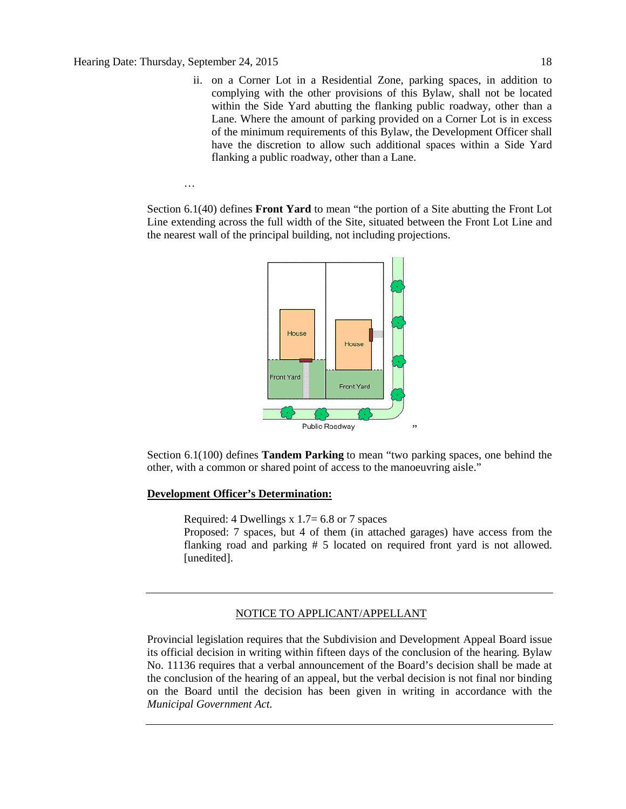…

ii. on a Corner Lot in a Residential Zone, parking spaces, in addition to complying with the other provisions of this Bylaw, shall not be located within the Side Yard abutting the flanking public roadway, other than a Lane. Where the amount of parking provided on a Corner Lot is in excess of the minimum requirements of this Bylaw, the Development Officer shall have the discretion to allow such additional spaces within a Side Yard flanking a public roadway, other than a Lane.

Section 6.1(40) defines **Front Yard** to mean "the portion of a Site abutting the Front Lot Line extending across the full width of the Site, situated between the Front Lot Line and the nearest wall of the principal building, not including projections.



Section 6.1(100) defines **Tandem Parking** to mean "two parking spaces, one behind the other, with a common or shared point of access to the manoeuvring aisle."

#### **Development Officer's Determination:**

Required: 4 Dwellings x  $1.7 = 6.8$  or 7 spaces

Proposed: 7 spaces, but 4 of them (in attached garages) have access from the flanking road and parking # 5 located on required front yard is not allowed. [unedited].

#### NOTICE TO APPLICANT/APPELLANT

Provincial legislation requires that the Subdivision and Development Appeal Board issue its official decision in writing within fifteen days of the conclusion of the hearing. Bylaw No. 11136 requires that a verbal announcement of the Board's decision shall be made at the conclusion of the hearing of an appeal, but the verbal decision is not final nor binding on the Board until the decision has been given in writing in accordance with the *Municipal Government Act.*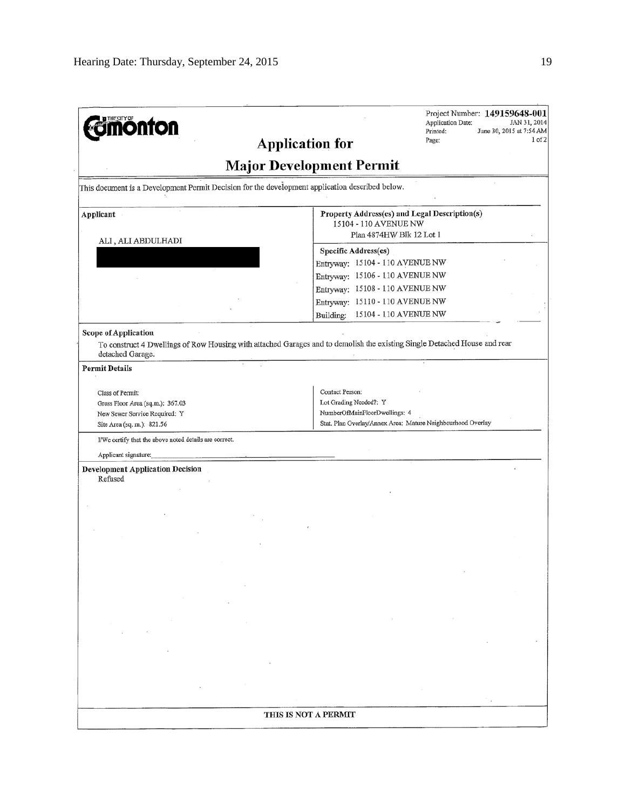| <b>monton</b>                                                                                   | Project Number: 149159648-001<br><b>Application Date:</b><br>JAN 31, 2014                                                 |
|-------------------------------------------------------------------------------------------------|---------------------------------------------------------------------------------------------------------------------------|
|                                                                                                 | June 30, 2015 at 7:54 AM<br>Printed:<br>1 of 2<br>Page:<br><b>Application for</b>                                         |
|                                                                                                 | <b>Major Development Permit</b>                                                                                           |
| This document is a Development Permit Decision for the development application described below. |                                                                                                                           |
|                                                                                                 |                                                                                                                           |
| Applicant                                                                                       | Property Address(es) and Legal Description(s)<br>15104 - 110 AVENUE NW                                                    |
| ALI, ALI ABDULHADI                                                                              | Plan 4874HW Blk 12 Lot 1                                                                                                  |
|                                                                                                 | Specific Address(es)                                                                                                      |
|                                                                                                 | Entryway: 15104 - 110 AVENUE NW                                                                                           |
|                                                                                                 | Entryway: 15106 - 110 AVENUE NW                                                                                           |
|                                                                                                 | Entryway: 15108 - 110 AVENUE NW                                                                                           |
|                                                                                                 | Entryway: 15110 - 110 AVENUE NW                                                                                           |
|                                                                                                 | 15104 - 110 AVENUE NW<br>Building:                                                                                        |
| <b>Scope of Application</b>                                                                     |                                                                                                                           |
| detached Garage.                                                                                | To construct 4 Dwellings of Row Housing with attached Garages and to demolish the existing Single Detached House and rear |
| <b>Permit Details</b>                                                                           |                                                                                                                           |
|                                                                                                 | Contact Person:                                                                                                           |
| Class of Permit:<br>Gross Floor Area (sq.m.): 367.03                                            | Lot Grading Needed?: Y                                                                                                    |
| New Sewer Service Required: Y                                                                   | NumberOfMainFloorDwellings: 4                                                                                             |
|                                                                                                 |                                                                                                                           |
| Site Area (sq. m.): 821.56                                                                      | Stat. Plan Overlay/Annex Area: Mature Neighbourhood Overlay                                                               |
|                                                                                                 |                                                                                                                           |
| I/We certify that the above noted details are correct.                                          |                                                                                                                           |
| Applicant signature:                                                                            |                                                                                                                           |
| <b>Development Application Decision</b><br>Refused                                              |                                                                                                                           |
|                                                                                                 |                                                                                                                           |
|                                                                                                 |                                                                                                                           |
|                                                                                                 |                                                                                                                           |
|                                                                                                 |                                                                                                                           |
|                                                                                                 |                                                                                                                           |
|                                                                                                 |                                                                                                                           |
|                                                                                                 |                                                                                                                           |
|                                                                                                 |                                                                                                                           |
|                                                                                                 |                                                                                                                           |
|                                                                                                 |                                                                                                                           |
|                                                                                                 |                                                                                                                           |
|                                                                                                 |                                                                                                                           |
|                                                                                                 |                                                                                                                           |
|                                                                                                 |                                                                                                                           |
|                                                                                                 |                                                                                                                           |
|                                                                                                 |                                                                                                                           |
|                                                                                                 |                                                                                                                           |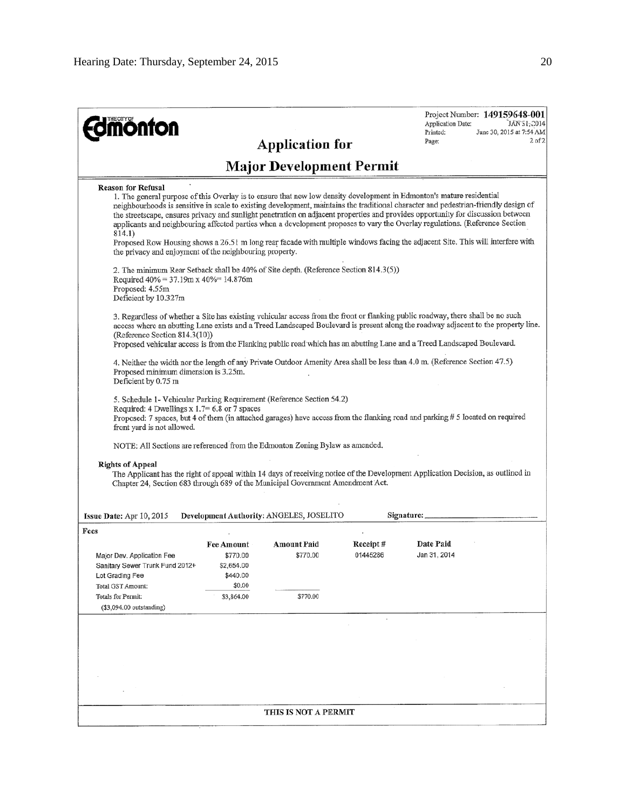| <b>dmönton</b>                                                                                                                                                                   |                                                                                 |                                                 |                      | Project Number: 149159648-001<br>JAN \$1, 2014<br><b>Application Date:</b><br>Printed:<br>June 30, 2015 at 7:54 AM<br>Page:                                                                                                                                                                                                                                                                                                                                                                                                                                                                                                                                        | $2$ of $2$ |
|----------------------------------------------------------------------------------------------------------------------------------------------------------------------------------|---------------------------------------------------------------------------------|-------------------------------------------------|----------------------|--------------------------------------------------------------------------------------------------------------------------------------------------------------------------------------------------------------------------------------------------------------------------------------------------------------------------------------------------------------------------------------------------------------------------------------------------------------------------------------------------------------------------------------------------------------------------------------------------------------------------------------------------------------------|------------|
|                                                                                                                                                                                  |                                                                                 | <b>Application for</b>                          |                      |                                                                                                                                                                                                                                                                                                                                                                                                                                                                                                                                                                                                                                                                    |            |
|                                                                                                                                                                                  |                                                                                 | <b>Major Development Permit</b>                 |                      |                                                                                                                                                                                                                                                                                                                                                                                                                                                                                                                                                                                                                                                                    |            |
| <b>Reason for Refusal</b><br>814.1)<br>the privacy and enjoyment of the neighbouring property.                                                                                   |                                                                                 |                                                 |                      | 1. The general purpose of this Overlay is to ensure that new low density development in Edmonton's mature residential<br>neighbourhoods is sensitive in scale to existing development, maintains the traditional character and pedestrian-friendly design of<br>the streetscape, ensures privacy and sunlight penetration on adjacent properties and provides opportunity for discussion between<br>applicants and neighbouring affected parties when a development proposes to vary the Overlay regulations. (Reference Section<br>Proposed Row Housing shows a 26.51 m long rear facade with multiple windows facing the adjacent Site. This will interfere with |            |
| 2. The minimum Rear Setback shall be 40% of Site depth. (Reference Section 814.3(5))<br>Required $40\% = 37.19$ m x $40\% = 14.876$ m<br>Proposed: 4.55m<br>Deficient by 10.327m |                                                                                 |                                                 |                      |                                                                                                                                                                                                                                                                                                                                                                                                                                                                                                                                                                                                                                                                    |            |
| (Reference Section 814.3(10))                                                                                                                                                    |                                                                                 |                                                 |                      | 3. Regardless of whether a Site has existing vehicular access from the front or flanking public roadway, there shall be no such<br>access where an abutting Lane exists and a Treed Landscaped Boulevard is present along the roadway adjacent to the property line.<br>Proposed vehicular access is from the Flanking public road which has an abutting Lane and a Treed Landscaped Boulevard.                                                                                                                                                                                                                                                                    |            |
| Proposed minimum dimension is 3.25m.<br>Deficient by 0.75 m                                                                                                                      |                                                                                 |                                                 |                      | 4. Neither the width nor the length of any Private Outdoor Amenity Area shall be less than 4.0 m. (Reference Section 47.5)                                                                                                                                                                                                                                                                                                                                                                                                                                                                                                                                         |            |
| 5. Schedule 1- Vehicular Parking Requirement (Reference Section 54.2)<br>Required: 4 Dwellings $x 1.7 = 6.8$ or 7 spaces<br>front yard is not allowed.                           |                                                                                 |                                                 |                      | Proposed: 7 spaces, but 4 of them (in attached garages) have access from the flanking road and parking # 5 located on required                                                                                                                                                                                                                                                                                                                                                                                                                                                                                                                                     |            |
| NOTE: All Sections are referenced from the Edmonton Zoning Bylaw as amended.                                                                                                     |                                                                                 |                                                 |                      |                                                                                                                                                                                                                                                                                                                                                                                                                                                                                                                                                                                                                                                                    |            |
| <b>Rights of Appeal</b><br>Chapter 24, Section 683 through 689 of the Municipal Government Amendment Act.                                                                        |                                                                                 |                                                 |                      | The Applicant has the right of appeal within 14 days of receiving notice of the Development Application Decision, as outlined in                                                                                                                                                                                                                                                                                                                                                                                                                                                                                                                                   |            |
| <b>Issue Date:</b> Apr $10, 2015$                                                                                                                                                |                                                                                 | <b>Development Authority: ANGELES, JOSELITO</b> |                      | Signature:                                                                                                                                                                                                                                                                                                                                                                                                                                                                                                                                                                                                                                                         |            |
| Fees<br>Major Dev. Application Fee<br>Sanitary Sewer Trunk Fund 2012+<br>Lot Grading Fee<br>Total GST Amount:<br><b>Totals for Permit:</b><br>(\$3,094.00 outstanding)           | <b>Fee Amount</b><br>\$770.00<br>\$2,654.00<br>\$440.00<br>\$0.00<br>\$3,864.00 | Amount Paid<br>\$770.00<br>\$770.00             | Receipt#<br>01445286 | Date Paid<br>Jan 31, 2014                                                                                                                                                                                                                                                                                                                                                                                                                                                                                                                                                                                                                                          |            |
|                                                                                                                                                                                  |                                                                                 |                                                 |                      |                                                                                                                                                                                                                                                                                                                                                                                                                                                                                                                                                                                                                                                                    |            |
|                                                                                                                                                                                  |                                                                                 | THIS IS NOT A PERMIT                            |                      |                                                                                                                                                                                                                                                                                                                                                                                                                                                                                                                                                                                                                                                                    |            |